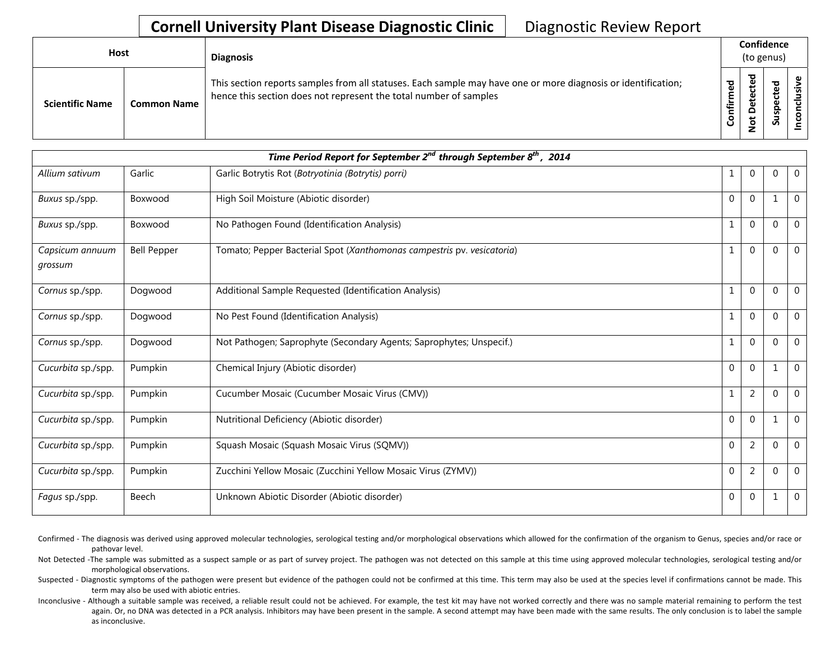| Host                   |                    | <b>Diagnosis</b>                                                                                                                                                                   |                      |                                 | Confidence<br>(to genus) |          |
|------------------------|--------------------|------------------------------------------------------------------------------------------------------------------------------------------------------------------------------------|----------------------|---------------------------------|--------------------------|----------|
| <b>Scientific Name</b> | <b>Common Name</b> | This section reports samples from all statuses. Each sample may have one or more diagnosis or identification;<br>hence this section does not represent the total number of samples | ᅙ<br>Ξ.<br>nfir<br>ပ | ъ<br>ይ<br>ں<br>ዴ<br>۵<br>پ<br>ۊ | ᠊ᠣ<br>په<br>௨<br>s<br>ທັ | <u>ی</u> |

| Time Period Report for September $2^{nd}$ through September $8^{th}$ , 2014 |                    |                                                                        |              |                |              |              |  |  |  |
|-----------------------------------------------------------------------------|--------------------|------------------------------------------------------------------------|--------------|----------------|--------------|--------------|--|--|--|
| Allium sativum                                                              | Garlic             | Garlic Botrytis Rot (Botryotinia (Botrytis) porri)                     | 1            | $\Omega$       | 0            | $\mathbf{0}$ |  |  |  |
| Buxus sp./spp.                                                              | Boxwood            | High Soil Moisture (Abiotic disorder)                                  | $\Omega$     | $\Omega$       | 1            | $\mathbf{0}$ |  |  |  |
| Buxus sp./spp.                                                              | Boxwood            | No Pathogen Found (Identification Analysis)                            | $\mathbf{1}$ | $\Omega$       | $\Omega$     | $\mathbf{0}$ |  |  |  |
| Capsicum annuum<br>grossum                                                  | <b>Bell Pepper</b> | Tomato; Pepper Bacterial Spot (Xanthomonas campestris pv. vesicatoria) | $\mathbf{1}$ | $\Omega$       | $\mathbf{0}$ | $\Omega$     |  |  |  |
| Cornus sp./spp.                                                             | Dogwood            | Additional Sample Requested (Identification Analysis)                  | $\mathbf{1}$ | $\Omega$       | $\Omega$     | $\mathbf{0}$ |  |  |  |
| Cornus sp./spp.                                                             | Dogwood            | No Pest Found (Identification Analysis)                                | $\mathbf{1}$ | $\Omega$       | $\mathbf 0$  | $\mathbf{0}$ |  |  |  |
| Cornus sp./spp.                                                             | Dogwood            | Not Pathogen; Saprophyte (Secondary Agents; Saprophytes; Unspecif.)    | $\mathbf{1}$ | $\Omega$       | $\Omega$     | $\mathbf{0}$ |  |  |  |
| Cucurbita sp./spp.                                                          | Pumpkin            | Chemical Injury (Abiotic disorder)                                     | $\Omega$     | $\mathbf{0}$   | 1            | $\mathbf{0}$ |  |  |  |
| Cucurbita sp./spp.                                                          | Pumpkin            | Cucumber Mosaic (Cucumber Mosaic Virus (CMV))                          | $\mathbf{1}$ | $\overline{2}$ | $\Omega$     | $\mathbf{0}$ |  |  |  |
| Cucurbita sp./spp.                                                          | Pumpkin            | Nutritional Deficiency (Abiotic disorder)                              | $\Omega$     | $\Omega$       | 1            | $\mathbf{0}$ |  |  |  |
| Cucurbita sp./spp.                                                          | Pumpkin            | Squash Mosaic (Squash Mosaic Virus (SQMV))                             | $\Omega$     | $\overline{2}$ | $\Omega$     | $\mathbf{0}$ |  |  |  |
| Cucurbita sp./spp.                                                          | Pumpkin            | Zucchini Yellow Mosaic (Zucchini Yellow Mosaic Virus (ZYMV))           | $\Omega$     | $\overline{2}$ | $\mathbf{0}$ | $\mathbf{0}$ |  |  |  |
| <i>Fagus sp./spp.</i>                                                       | Beech              | Unknown Abiotic Disorder (Abiotic disorder)                            | $\mathbf{0}$ | $\overline{0}$ | 1            | $\mathbf{0}$ |  |  |  |

Confirmed - The diagnosis was derived using approved molecular technologies, serological testing and/or morphological observations which allowed for the confirmation of the organism to Genus, species and/or race or pathovar level.

Not Detected -The sample was submitted as a suspect sample or as part of survey project. The pathogen was not detected on this sample at this time using approved molecular technologies, serological testing and/or morphological observations.

Suspected - Diagnostic symptoms of the pathogen were present but evidence of the pathogen could not be confirmed at this time. This term may also be used at the species level if confirmations cannot be made. This term may also be used with abiotic entries.

Inconclusive - Although a suitable sample was received, a reliable result could not be achieved. For example, the test kit may have not worked correctly and there was no sample material remaining to perform the test again. Or, no DNA was detected in a PCR analysis. Inhibitors may have been present in the sample. A second attempt may have been made with the same results. The only conclusion is to label the sample as inconclusive.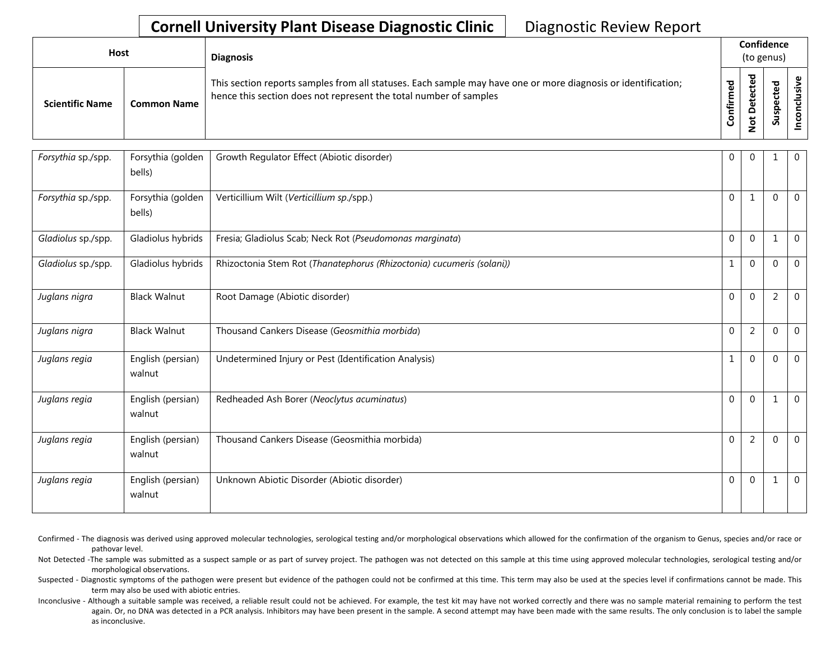| <b>Host</b>            |                    | <b>Diagnosis</b>                                                                                                                                                                   |          | Confidence<br>(to genus) |                                      |                    |  |
|------------------------|--------------------|------------------------------------------------------------------------------------------------------------------------------------------------------------------------------------|----------|--------------------------|--------------------------------------|--------------------|--|
| <b>Scientific Name</b> | <b>Common Name</b> | This section reports samples from all statuses. Each sample may have one or more diagnosis or identification;<br>hence this section does not represent the total number of samples | ᇴ<br>tir | ᇃ<br>ω<br>å              | ਠ<br>உ<br>ن<br>Φ<br>௨<br>w<br>っ<br>S | <u>ی</u><br>ပ<br>ě |  |

| Forsythia sp./spp. | Forsythia (golden<br>bells) | Growth Regulator Effect (Abiotic disorder)                            | $\overline{0}$ | $\Omega$       | 1              | $\mathbf 0$    |
|--------------------|-----------------------------|-----------------------------------------------------------------------|----------------|----------------|----------------|----------------|
| Forsythia sp./spp. | Forsythia (golden<br>bells) | Verticillium Wilt (Verticillium sp./spp.)                             | $\Omega$       | $\mathbf{1}$   | $\mathbf{0}$   | $\mathbf 0$    |
| Gladiolus sp./spp. | Gladiolus hybrids           | Fresia; Gladiolus Scab; Neck Rot (Pseudomonas marginata)              | $\Omega$       | $\Omega$       | 1              | $\overline{0}$ |
| Gladiolus sp./spp. | Gladiolus hybrids           | Rhizoctonia Stem Rot (Thanatephorus (Rhizoctonia) cucumeris (solani)) | $\mathbf{1}$   | $\Omega$       | $\Omega$       | $\mathbf 0$    |
| Juglans nigra      | <b>Black Walnut</b>         | Root Damage (Abiotic disorder)                                        | $\Omega$       | $\Omega$       | $\overline{2}$ | $\Omega$       |
| Juglans nigra      | <b>Black Walnut</b>         | Thousand Cankers Disease (Geosmithia morbida)                         | $\mathbf 0$    | $\overline{2}$ | $\mathbf 0$    | $\mathbf 0$    |
| Juglans regia      | English (persian)<br>walnut | Undetermined Injury or Pest (Identification Analysis)                 | $\mathbf{1}$   | $\Omega$       | $\Omega$       | $\Omega$       |
| Juglans regia      | English (persian)<br>walnut | Redheaded Ash Borer (Neoclytus acuminatus)                            | $\Omega$       | $\Omega$       | 1              | 0              |
| Juglans regia      | English (persian)<br>walnut | Thousand Cankers Disease (Geosmithia morbida)                         | $\Omega$       | $\overline{2}$ | $\mathbf{0}$   | $\overline{0}$ |
| Juglans regia      | English (persian)<br>walnut | Unknown Abiotic Disorder (Abiotic disorder)                           | $\Omega$       | $\Omega$       | 1              | $\overline{0}$ |

- Confirmed The diagnosis was derived using approved molecular technologies, serological testing and/or morphological observations which allowed for the confirmation of the organism to Genus, species and/or race or pathovar level.
- Not Detected -The sample was submitted as a suspect sample or as part of survey project. The pathogen was not detected on this sample at this time using approved molecular technologies, serological testing and/or morphological observations.
- Suspected Diagnostic symptoms of the pathogen were present but evidence of the pathogen could not be confirmed at this time. This term may also be used at the species level if confirmations cannot be made. This term may also be used with abiotic entries.
- Inconclusive Although a suitable sample was received, a reliable result could not be achieved. For example, the test kit may have not worked correctly and there was no sample material remaining to perform the test again. Or, no DNA was detected in a PCR analysis. Inhibitors may have been present in the sample. A second attempt may have been made with the same results. The only conclusion is to label the sample as inconclusive.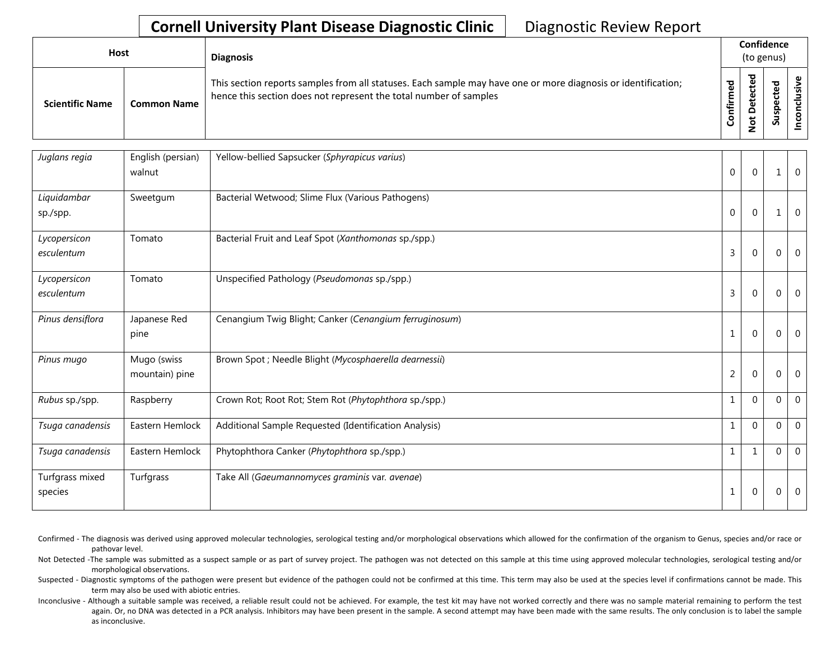| <b>Host</b>            |                    | <b>Diagnosis</b>                                                                                                                                                                   |                      | Confidence<br>(to genus)                                |                                 |  |  |
|------------------------|--------------------|------------------------------------------------------------------------------------------------------------------------------------------------------------------------------------|----------------------|---------------------------------------------------------|---------------------------------|--|--|
| <b>Scientific Name</b> | <b>Common Name</b> | This section reports samples from all statuses. Each sample may have one or more diagnosis or identification;<br>hence this section does not represent the total number of samples | ᇃ<br>ě<br>E<br>onfir | ᅙ<br>$\mathbf{\omega}$<br>ē,<br>ÒΨ<br>۵<br>$\circ$<br>z | ਠ<br>₽<br>ن<br>௨<br>s<br>∍<br>S |  |  |

| Juglans regia              | English (persian)<br>walnut   | Yellow-bellied Sapsucker (Sphyrapicus varius)          | $\mathbf 0$    | $\mathbf{0}$ | 1           | $\mathbf 0$ |
|----------------------------|-------------------------------|--------------------------------------------------------|----------------|--------------|-------------|-------------|
| Liquidambar<br>sp./spp.    | Sweetgum                      | Bacterial Wetwood; Slime Flux (Various Pathogens)      | $\Omega$       | $\Omega$     | 1           | $\theta$    |
| Lycopersicon<br>esculentum | Tomato                        | Bacterial Fruit and Leaf Spot (Xanthomonas sp./spp.)   | 3              | 0            | $\Omega$    | $\mathbf 0$ |
| Lycopersicon<br>esculentum | Tomato                        | Unspecified Pathology (Pseudomonas sp./spp.)           | 3              | $\mathbf{0}$ | $\Omega$    | 0           |
| Pinus densiflora           | Japanese Red<br>pine          | Cenangium Twig Blight; Canker (Cenangium ferruginosum) | $\mathbf{1}$   | $\theta$     | $\mathbf 0$ | $\mathbf 0$ |
| Pinus mugo                 | Mugo (swiss<br>mountain) pine | Brown Spot ; Needle Blight (Mycosphaerella dearnessii) | $\overline{2}$ | $\Omega$     | $\Omega$    | $\mathbf 0$ |
| Rubus sp./spp.             | Raspberry                     | Crown Rot; Root Rot; Stem Rot (Phytophthora sp./spp.)  | $\mathbf{1}$   | $\Omega$     | $\Omega$    | $\mathbf 0$ |
| Tsuga canadensis           | Eastern Hemlock               | Additional Sample Requested (Identification Analysis)  | $\mathbf{1}$   | $\Omega$     | $\Omega$    | $\theta$    |
| Tsuga canadensis           | Eastern Hemlock               | Phytophthora Canker (Phytophthora sp./spp.)            | $\mathbf{1}$   | $\mathbf{1}$ | $\Omega$    | $\mathbf 0$ |
| Turfgrass mixed<br>species | Turfgrass                     | Take All (Gaeumannomyces graminis var. avenae)         | $\mathbf 1$    | $\mathbf{0}$ | $\Omega$    | $\mathbf 0$ |

Confirmed - The diagnosis was derived using approved molecular technologies, serological testing and/or morphological observations which allowed for the confirmation of the organism to Genus, species and/or race or pathovar level.

Not Detected -The sample was submitted as a suspect sample or as part of survey project. The pathogen was not detected on this sample at this time using approved molecular technologies, serological testing and/or morphological observations.

Suspected - Diagnostic symptoms of the pathogen were present but evidence of the pathogen could not be confirmed at this time. This term may also be used at the species level if confirmations cannot be made. This term may also be used with abiotic entries.

Inconclusive - Although a suitable sample was received, a reliable result could not be achieved. For example, the test kit may have not worked correctly and there was no sample material remaining to perform the test again. Or, no DNA was detected in a PCR analysis. Inhibitors may have been present in the sample. A second attempt may have been made with the same results. The only conclusion is to label the sample as inconclusive.